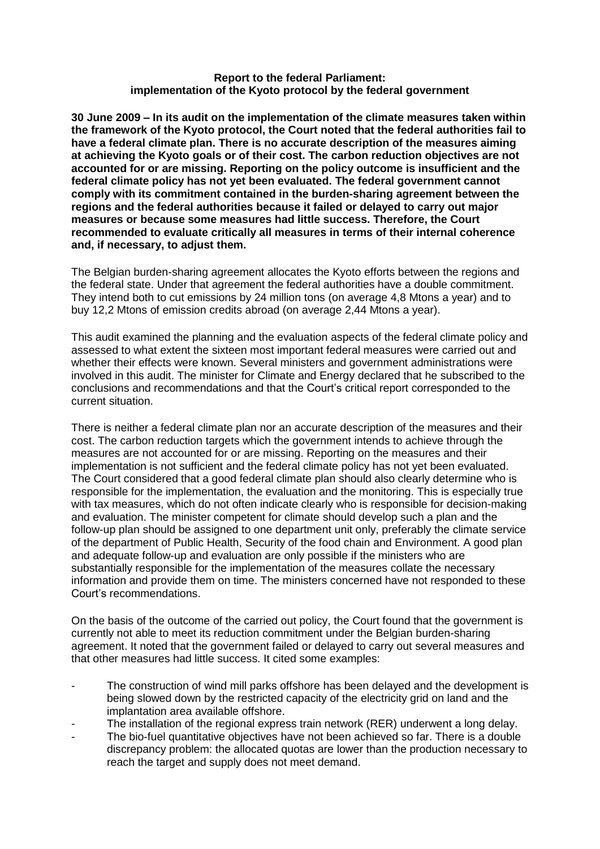## **Report to the federal Parliament: implementation of the Kyoto protocol by the federal government**

**30 June 2009 – In its audit on the implementation of the climate measures taken within the framework of the Kyoto protocol, the Court noted that the federal authorities fail to have a federal climate plan. There is no accurate description of the measures aiming at achieving the Kyoto goals or of their cost. The carbon reduction objectives are not accounted for or are missing. Reporting on the policy outcome is insufficient and the federal climate policy has not yet been evaluated. The federal government cannot comply with its commitment contained in the burden-sharing agreement between the regions and the federal authorities because it failed or delayed to carry out major measures or because some measures had little success. Therefore, the Court recommended to evaluate critically all measures in terms of their internal coherence and, if necessary, to adjust them.** 

The Belgian burden-sharing agreement allocates the Kyoto efforts between the regions and the federal state. Under that agreement the federal authorities have a double commitment. They intend both to cut emissions by 24 million tons (on average 4,8 Mtons a year) and to buy 12,2 Mtons of emission credits abroad (on average 2,44 Mtons a year).

This audit examined the planning and the evaluation aspects of the federal climate policy and assessed to what extent the sixteen most important federal measures were carried out and whether their effects were known. Several ministers and government administrations were involved in this audit. The minister for Climate and Energy declared that he subscribed to the conclusions and recommendations and that the Court's critical report corresponded to the current situation.

There is neither a federal climate plan nor an accurate description of the measures and their cost. The carbon reduction targets which the government intends to achieve through the measures are not accounted for or are missing. Reporting on the measures and their implementation is not sufficient and the federal climate policy has not yet been evaluated. The Court considered that a good federal climate plan should also clearly determine who is responsible for the implementation, the evaluation and the monitoring. This is especially true with tax measures, which do not often indicate clearly who is responsible for decision-making and evaluation. The minister competent for climate should develop such a plan and the follow-up plan should be assigned to one department unit only, preferably the climate service of the department of Public Health, Security of the food chain and Environment. A good plan and adequate follow-up and evaluation are only possible if the ministers who are substantially responsible for the implementation of the measures collate the necessary information and provide them on time. The ministers concerned have not responded to these Court's recommendations.

On the basis of the outcome of the carried out policy, the Court found that the government is currently not able to meet its reduction commitment under the Belgian burden-sharing agreement. It noted that the government failed or delayed to carry out several measures and that other measures had little success. It cited some examples:

- The construction of wind mill parks offshore has been delayed and the development is being slowed down by the restricted capacity of the electricity grid on land and the implantation area available offshore.
- The installation of the regional express train network (RER) underwent a long delay.
- The bio-fuel quantitative objectives have not been achieved so far. There is a double discrepancy problem: the allocated quotas are lower than the production necessary to reach the target and supply does not meet demand.